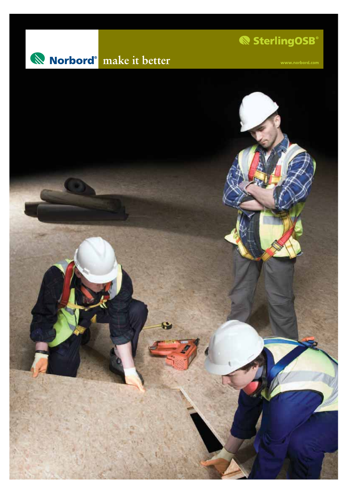

SterlingOSB®

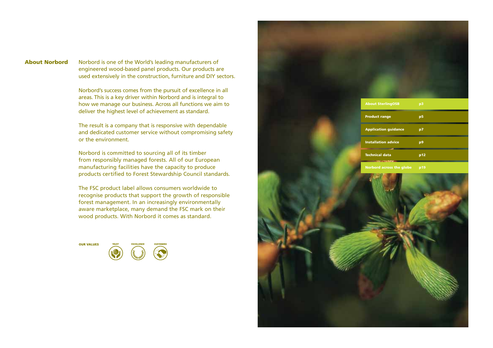# **About Norbord**

Norbord is one of the World's leading manufacturers of engineered wood-based panel products. Our products are used extensively in the construction, furniture and DIY sectors.

Norbord's success comes from the pursuit of excellence in all areas. This is <sup>a</sup> key driver within Norbord and is integral to how we manage our business. Across all functions we aim to deliver the highest level of achievement as standard.

The result is <sup>a</sup> company that is responsive with dependable and dedicated customer service without compromising safety or the environment.

Norbord is committed to sourcing all of its timber from responsibly managed forests. All of our European manufacturing facilities have the capacity to produce products certified to Forest Stewardship Council standards.

The FSC product label allows consumers worldwide to recognise products that support the growth of responsible forest management. In an increasingly environmentally aware marketplace, many demand the FSC mark on their wood products. With Norbord it comes as standard.



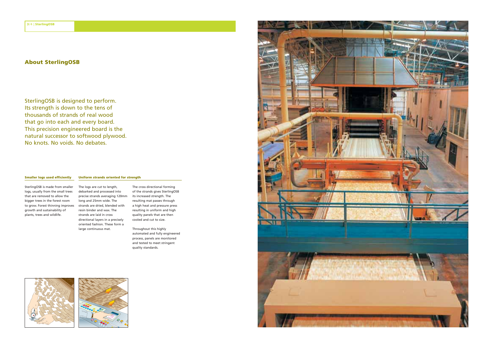## **About SterlingOSB**

SterlingOSB is designed to perform. Its strength is down to the tens of thousands of strands of real wood that go into each and every board. This precision engineered board is the natural successor to softwood plywood. No knots. No voids. No debates.

### **Smaller logs used efficiently**

#### **Uniform strands oriented for strength**

SterlingOSB is made from smaller logs, usually from the small trees that are removed to allow the bigger trees in the forest room to grow. Forest thinning improves strands are dried, blended with growth and sustainability of plants, trees and wildlife.

The logs are cut to length, debarked and processed into precise strands averaging 120mm long and 25mm wide. The resin binder and wax. The strands are laid in cross directional layers in <sup>a</sup> precisely oriented fashion. These form <sup>a</sup> large continuous mat.

The cross directional forming of the strands gives SterlingOSB its increased strength. The resulting mat passes through <sup>a</sup> high heat and pressure press resulting in uniform and high quality panels that are then cooled and cut to size.

Throughout this highly automated and fully engineered process, panels are monitored and tested to meet stringent quality standards.





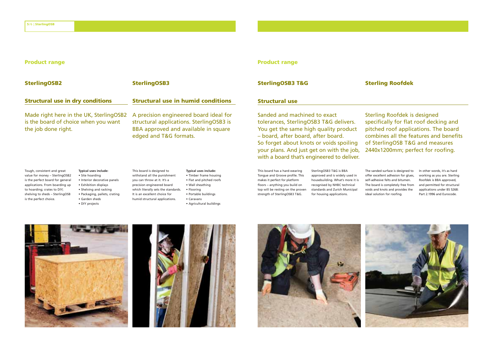## **Product range**

**Structural use in dry conditions**

Made right here in the UK, SterlingOSB2 is the board of choice when you want

# **Product range**

## **SterlingOSB3 T&G Sterling Roofdek**

## **Structural use**

Sanded and machined to exact tolerances, SterlingOSB3 T&G delivers. You get the same high quality product – board, after board, after board. So forget about knots or voids spoiling your plans. And just get on with the job, with <sup>a</sup> board that's engineered to deliver.

Sterling Roofdek is designed specifically for flat roof decking and pitched roof applications. The board combines all the features and benefits of SterlingOSB T&G and measures 2440x1200mm; perfect for roofing.

Tough, consistent and great value for money – SterlingOSB2 is the perfect board for general applications. From boarding up to hoarding; crates to DIY; shelving to sheds – SterlingOSB is the perfect choice.

the job done right.

**Typical uses include:** • Site hoarding • Interior decorative panels • Exhibition displays • Shelving and racking • Packaging, pallets, crating • Garden sheds • DIY projects

**SterlingOSB2 SterlingOSB3**

This board is designed to withstand all the punishment you can throw at it. It's <sup>a</sup> precision engineered board which literally sets the standards. It is an excellent choice for humid structural applications.

**Typical uses include:** • Timber frame housing • Flat and pitched roofs • Wall sheathing • Flooring • Portable buildings • Caravans • Agricultural buildings

**Structural use in humid conditions**

A precision engineered board ideal for structural applications. SterlingOSB3 is BBA approved and available in square

edged and T&G formats.

This board has <sup>a</sup> hard-wearing Tongue and Groove profile. This makes it perfect for platform floors – anything you build on top will be resting on the proven strength of SterlingOSB3 T&G.

SterlingOSB3 T&G is BBA approved and is widely used in housebuilding. What's more it is recognised by NHBC technical standards and Zurich Municipal for housing applications.

The sanded surface is designed to offer excellent adhesion for glues, self-adhesive felts and bitumen. The board is completely free from voids and knots and provides the ideal solution for roofing.

In other words, it's as hard working as you are. Sterling Roofdek is BBA approved, and permitted for structural applications under BS 5268: Part 2.1996 and Eurocode.







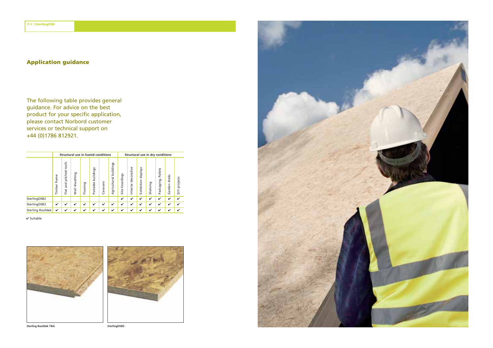## **Application guidance**

The following table provides general guidance. For advice on the best product for your specific application, please contact Norbord customer services or technical support on +44 (0)1786 812921.

|                  |                 |                                 |                   |              | Structural use in humid conditions |              |                           |                   |                        |                        | Structural use in dry conditions |                       |                 |                           |
|------------------|-----------------|---------------------------------|-------------------|--------------|------------------------------------|--------------|---------------------------|-------------------|------------------------|------------------------|----------------------------------|-----------------------|-----------------|---------------------------|
|                  | frame<br>Timber | roofs<br>pitched<br>and<br>Flat | sheathing<br>Wall | Flooring     | buildings<br>Portable              | aravans<br>Ο | buildings<br>Agricultural | hoardings<br>Site | decorative<br>Interior | displays<br>Exhibition | Shelving                         | Pallets<br>Packaging, | sheds<br>Garden | projects<br>$\frac{1}{2}$ |
| SterlingOSB2     |                 |                                 |                   |              |                                    |              |                           | ✓                 | ✓                      | ✓                      | ✓                                | v                     | ✓               | ✓                         |
| SterlingOSB3     | $\checkmark$    | ✓                               | ✓                 | $\checkmark$ | ✓                                  | ✓            | ✓                         | $\checkmark$      | v                      | ✓                      | v                                | $\checkmark$          | v               | ✓                         |
| Sterling Roofdek | ✓               | ✓                               | ✓                 | ✓            | ✓                                  | ✓            | ✓                         | ✓                 | ✓                      | ✓                      | ✓                                | ✓                     | ✓               | ✓                         |

✔ Suitable



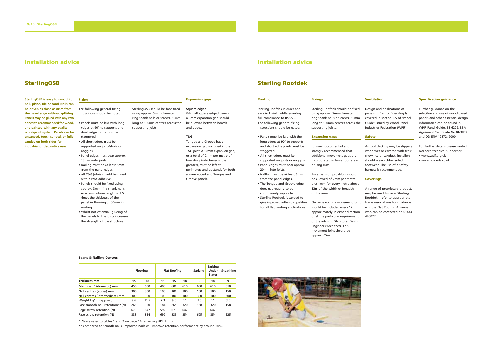## **Installation advice**

## **SterlingOSB**

**SterlingOSB is easy to saw, drill, nail, plane, file or sand. Nails can be driven as close as 8mm from the panel edge without splitting. Panels may be glued with any PVA adhesive recommended for wood, and painted with any quality wood-paint system. Panels can be unsanded, touch sanded, or fully sanded on both sides for industrial or decorative uses.**

The following general fixing instructions should be noted: **Fixing**

• Panels must be laid with long edges at 90° to supports and short edge joints must be staggered. • All short edges must be supported on joists/studs or noggins. • Panel edges must bear approx. 18mm onto joists. • Nailing must be at least 8mm from the panel edges. • All T&G joints should be glued with a PVA adhesive.

### **Expansion gaps**

**Square edged**

With all square edged panels <sup>a</sup> 3mm expansion gap should be allowed between boards and edges.

#### **T&G**

Tongue and Groove has an expansion gap included in the T&G joint. A 10mm expansion gap, or <sup>a</sup> total of 2mm per metre of boarding, (whichever is the greater), must be left at perimeters and upstands for both square edged and Tongue and Groove panels.

**Roofing** Sterling Roofdek is quick and easy to install, while ensuring full compliance to BS6229. The following general fixing instructions should be noted:

**Installation advice**

**Sterling Roofdek**

• Panels must be laid with the long edges at 90° to supports and short edge joints must be staggered. • All short edges must be supported on joists or noggins.

• Panel edges must bear approx. 20mm into joists. • Nailing must be at least 8mm from the panel edges. • The Tongue and Groove edge does not require to be continuously supported.

• Sterling Roofdek is sanded to give improved adhesion qualities for all flat roofing applications.

should be included every 12m approximately in either direction or at the particular requirement of the advising Structural Design Engineers/Architects. This movement joint should be

An expansion provision should be allowed of 2mm per metre plus 1mm for every metre above 12m of the width or breadth

**Fixings**

supporting joists. **Expansion gaps** It is well documented and strongly recommended that additional movement gaps are incorporated in large roof areas

or long runs.

of the area.

approx. 25mm.

Sterling Roofdek should be fixed using approx. 3mm diameter ring-shank nails or screws, 50mm long at 100mm centres across the

### **Specification guidance**

Further guidance on the selection and use of wood-based panels and other essential design information can be found in: WPIF Panel Guide, BS 6229, BBA Agrément Certificate No 01/3857 and DD ENV 12872: 2000.

For further details please contact Norbord technical support or; • www.wpif.org.uk • www.bbacerts.co.uk

#### **Coverings**

**Ventilation**

**Safety**

Design and applications of panels in flat roof decking is covered in section 2.5 of 'Panel Guide' issued by Wood Panel Industries Federation (WPIF).

As roof decking may be slippery when wet or covered with frost, snow, ice or sawdust, installers should wear rubber soled footwear. The use of <sup>a</sup> safety harness is recommended.

On large roofs, <sup>a</sup> movement joint trade associations for guidance A range of proprietary products may be used to cover Sterling Roofdek - refer to appropriate e.g. the Flat Roofing Alliance who can be contacted on 01444 440027.

SterlingOSB should be face fixed using approx. 3mm diameter ring-shank nails or screws, 50mm long at 100mm centres across the supporting joists.

• Panels should be fixed using approx. 3mm ring-shank nails or screws whose length is 2.5 times the thickness of the panel in flooring or 50mm in

• Whilst not essential, glueing of the panels to the joists increases the strength of the structure.

roofing.

#### **Spans & Nailing Centres**

|                                    |     | Flooring |     | <b>Flat Roofing</b> |     | Sarking | Sarking<br>Under<br><b>Slates</b> | Sheathing                |
|------------------------------------|-----|----------|-----|---------------------|-----|---------|-----------------------------------|--------------------------|
| Thickness mm                       | 15  | 18       | 11  | 15                  | 18  | 9       | 18                                | 9                        |
| Max. span* (domestic) mm           | 450 | 600      | 400 | 600                 | 610 | 600     | 610                               | 610                      |
| Nail centres (edges) mm            | 300 | 300      | 100 | 100                 | 100 | 150     | 100                               | 150                      |
| Nail centres (intermediate) mm     | 300 | 300      | 100 | 100                 | 100 | 300     | 100                               | 300                      |
| Weight kg/m <sup>2</sup> (approx.) | 9.6 | 11.7     | 7.3 | 9.6                 | 11  | 3.5     | 11                                | 3.5                      |
| Face smooth nail retention**(N)    | 265 | 320      | 184 | 265                 | 320 | 158     | 320                               | 158                      |
| Edge screw retention (N)           | 673 | 647      | 592 | 673                 | 647 | -       | 647                               | $\overline{\phantom{a}}$ |
| Face screw retention (N)           | 833 | 854      | 692 | 833                 | 854 | 625     | 854                               | 625                      |

\* Please refer to tables 1 and 2 on page 14 regarding UDL limits.

\*\* Compared to smooth nails, improved nails will improve retention performance by around 50%.

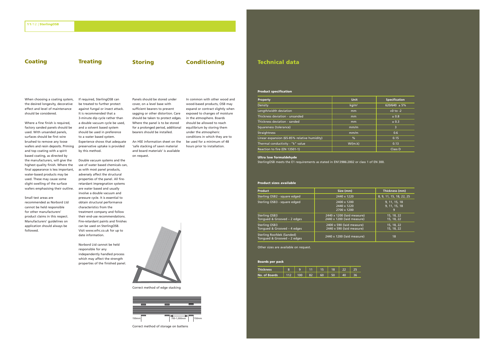## **Coating Treating Storing Conditioning**

When choosing <sup>a</sup> coating system, the desired longevity, decorative effect and level of maintenance should be considered.

Where <sup>a</sup> fine finish is required, factory sanded panels should be used. With unsanded panels, surfaces should be first wire brushed to remove any loose wafers and resin deposits. Priming and top coating with <sup>a</sup> spirit based coating, as directed by the manufacturers, will give the highest quality finish. Where the final appearance is less important, water-based products may be used. These may cause some slight swelling of the surface wafers emphasising their outline.

Small test areas are recommended as Norbord Ltd cannot be held responsible for other manufacturers' product claims in this respect. Manufacturers' guidelines on application should always be followed.

If required, SterlingOSB can be treated to further protect against fungal or insect attack. It is recommended that a 3-minute dip cycle rather than <sup>a</sup> double vacuum cycle be used, and <sup>a</sup> solvent based system should be used in preference to <sup>a</sup> water based system. Experience shows that adequate preservative uptake is provided by this method.

Double vacuum systems and the use of water based chemicals can, as with most panel products, adversely affect the structural properties of the panel. All fireretardant impregnation systems are water based and usually involve a double vacuum and pressure cycle. It is essential to obtain structural performance characteristics from the treatment company and follow their end-use recommendations. Fire-retardant paints and finishes can be used on SterlingOSB. Visit www.wfrc.co.uk for up to date information.

responsible for any independently handled process which may affect the strength properties of the finished panel. Panels should be stored under cover, on <sup>a</sup> level base with sufficient bearers to prevent sagging or other distortion. Care should be taken to protect edges. Where the panel is to be stored for <sup>a</sup> prolonged period, additional bearers should be installed. An HSE information sheet on the

'safe stacking of sawn material and board materials' is available on request.

Norbord Ltd cannot be held

In common with other wood and wood-based products, OSB may expand or contract slightly when exposed to changes of moisture in the atmosphere. Boards should be allowed to reach equilibrium by storing them under the atmospheric conditions in which they are to be used for <sup>a</sup> minimum of 48 hours prior to installation.

Correct method of edge stacking



Correct method of storage on battens

## **Technical data**

### **Product specification**

| Property                                    | <b>Unit</b> | <b>Specification</b> |
|---------------------------------------------|-------------|----------------------|
| Density                                     | $kq/m^3$    | $620/640 \pm 5%$     |
| Length/width deviation                      | mm          | $+0$ to $-2$         |
| Thickness deviation - unsanded              | mm          | ± 0.8                |
| Thickness deviation - sanded                | mm          | ± 0.3                |
| Squareness (tolerance)                      | mm/m        | 3                    |
| Straightness                                | mm/m        | 0.6                  |
| Linear expansion (65-85% relative humidity) | %           | 0.15                 |
| Thermal conductivity - "k" value            | W/(m.k)     | 0.13                 |
| Reaction to fire (EN 13501-1)               |             | Class D              |

### **Ultra low formaldehyde**

SterlingOSB meets the E1 requirements as stated in EN13986:2002 or class 1 of EN 300.

#### **Product sizes available**

| <b>Product</b>                                           | Size (mm)                                                | Thickness (mm)                 |
|----------------------------------------------------------|----------------------------------------------------------|--------------------------------|
| Sterling OSB2 - square edged                             | 2440 x 1220                                              | 8, 9, 11, 15, 18, 22, 25       |
| Sterling OSB3 - square edged                             | 2400 x 1200<br>2440 x 1220<br>2700 x 1200                | 9, 11, 15, 18<br>9, 11, 15, 18 |
| Sterling OSB3<br>Tonqued & Grooved - 2 edges             | 2440 x 1200 (laid measure)<br>2440 x 1200 (laid measure) | 15, 18, 22<br>15, 18, 22       |
| <b>Sterling OSB3</b><br>Tonqued & Grooved - 4 edges      | 2400 x 590 (laid measure)<br>2440 x 590 (laid measure)   | 15, 18, 22<br>15, 18, 22       |
| Sterling Roofdek (Sanded)<br>Tonqued & Grooved - 2 edges | 2440 x 1200 (laid measure)                               | 18                             |

Other sizes are available on request.

### **Boards per pack**

| <b>Thickness</b> | 8   | $\Omega$ |    | 15 | 18 |  |
|------------------|-----|----------|----|----|----|--|
| No. of Boards    | 112 | 100      | 82 | 60 | 50 |  |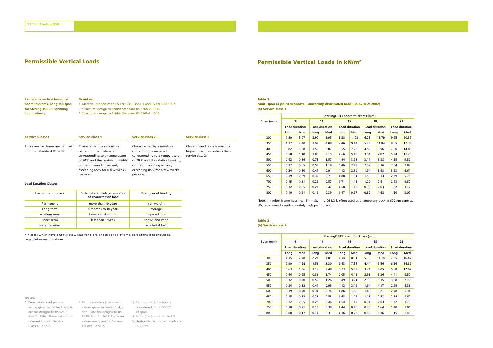#### **Permissible vertical loads, per board thickness, per given span Based on:**

**for SterlingOSB 2/3 spanning** 1. Material properties to BS EN 12369-1:2001 and BS EN 300: 1997. 2. Structural design to British Standard BS 5268-2: 1996. 3. Structural design to British Standard BS 5268-2: 2002.

| <b>Service Classes</b>                                            | <b>Service class 1</b>                                                                                                                                                                                      | <b>Service class 2</b>                                                                                                                                                                                      |
|-------------------------------------------------------------------|-------------------------------------------------------------------------------------------------------------------------------------------------------------------------------------------------------------|-------------------------------------------------------------------------------------------------------------------------------------------------------------------------------------------------------------|
| Three service classes are defined<br>in British Standard BS 5268. | Characterised by a moisture<br>content in the materials<br>corresponding to a temperature<br>of 20°C and the relative humidity<br>of the surrounding air only<br>exceeding 65% for a few weeks<br>per year. | Characterised by a moisture<br>content in the materials<br>corresponding to a temperature<br>of 20°C and the relative humidity<br>of the surrounding air only<br>exceeding 85% for a few weeks<br>per year. |
|                                                                   |                                                                                                                                                                                                             |                                                                                                                                                                                                             |

#### **Load Duration Classes**

**longitudinally**

| <b>Load-duration class</b> | Order of accumulated duration<br>of characteristic load | <b>Examples of loading</b> |
|----------------------------|---------------------------------------------------------|----------------------------|
| Permanent                  | more than 10 years                                      | self weight                |
| Long-term                  | 6 months to 10 years                                    | storage                    |
| Medium-term                | 1 week to 6 months                                      | imposed load               |
| Short-term                 | less than 1 week                                        | snow* and wind             |
| Instantaneous              |                                                         | accidental load            |

\*In areas which have <sup>a</sup> heavy snow load for <sup>a</sup> prolonged period of time, part of the load should be regarded as medium-term

### **Notes:**

- 1. Permissible load per span values given in Tables 2 and 6 values given in Tables 3, 4, 7 are for designs to BS 5268: Part 2 : 1996. These values are 5268: Part 2 : 2002. Separate relevant to both Service Classes 1 and 2.
- 2. Permissible load per span and 8 are for designs to BS values are given for Service Classes 1 and 2. 3. Permissible deflection is considered to be 1/300<sup>th</sup> of span. 4. Point (line) loads are in kN. 5. Uniformly distributed loads are in kN/m2.

## **Permissible Vertical Loads Permissible Vertical Loads in kN/m2**

## **Table 1**

**Service class 3**

service class 2.

Climatic conditions leading to higher moisture contents than in **Multi-span (3 point support) – Uniformly distributed load (BS 5268-2: 2002) (a) Service class 1**

|           |                      |      |                      |      |      | SterlingOSB3 board thickness (mm) |                      |       |                      |       |
|-----------|----------------------|------|----------------------|------|------|-----------------------------------|----------------------|-------|----------------------|-------|
| Span (mm) | 9                    |      | 11                   |      |      | 15                                |                      | 18    | 22                   |       |
|           | <b>Load duration</b> |      | <b>Load duration</b> |      |      | <b>Load duration</b>              | <b>Load duration</b> |       | <b>Load duration</b> |       |
|           | Long                 | Med  | Long                 | Med  | Long | Med                               | Long                 | Med   | Long                 | Med   |
| 300       | 1.50                 | 3.07 | 2.90                 | 5.95 | 5.38 | 11.03                             | 6.73                 | 13.79 | 9.95                 | 20.39 |
| 350       | 1.17                 | 2.40 | 1.99                 | 4.08 | 4.46 | 9.14                              | 5.78                 | 11.84 | 8.65                 | 17.73 |
| 400       | 0.82                 | 1.68 | 1.50                 | 3.07 | 3.55 | 7.28                              | 4.86                 | 9.96  | 7.26                 | 14.88 |
| 450       | 0.58                 | 1.18 | 1.05                 | 2.15 | 2.66 | 5.46                              | 3.84                 | 7.87  | 5.74                 | 11.75 |
| 500       | 0.42                 | 0.86 | 0.76                 | 1.57 | 1.94 | 3.98                              | 3.11                 | 6.38  | 4.65                 | 9.52  |
| 550       | 0.32                 | 0.65 | 0.58                 | 1.18 | 1.46 | 2.99                              | 2.52                 | 5.16  | 3.84                 | 7.87  |
| 600       | 0.24                 | 0.50 | 0.44                 | 0.91 | 1.12 | 2.30                              | 1.94                 | 3.98  | 3.23                 | 6.61  |
| 650       | 0.19                 | 0.39 | 0.35                 | 0.71 | 0.88 | 1.81                              | 1.53                 | 3.13  | 2.79                 | 5.71  |
| 700       | 0.15                 | 0.31 | 0.28                 | 0.57 | 0.71 | 1.45                              | 1.22                 | 2.51  | 2.23                 | 4.57  |
| 750       | 0.12                 | 0.25 | 0.23                 | 0.47 | 0.58 | 1.18                              | 0.99                 | 2.03  | 1.82                 | 3.72  |
| 800       | 0.10                 | 0.21 | 0.19                 | 0.39 | 0.47 | 0.97                              | 0.82                 | 1.68  | 1.50                 | 3.07  |

Note: In timber frame housing, 15mm Sterling OSB/3 is often used as <sup>a</sup> temporary deck at 600mm centres. We recommend avoiding unduly high point loads.

#### **Table 2 (b) Service class 2**

**SterlingOSB3 board thickness (mm) Span (mm) 9 11 15 18 22 Load duration Load duration Load duration Load duration Load duration Long Med Long Med Long Med Long Med Long Med** 1.15 2.48 2.23 4.81 4.14 8.91 5.18 11.14 7.65 16.47 0.90 1.94 1.53 3.30 3.43 7.38 4.44 9.56 6.66 14.32 0.63 1.36 1.15 2.48 2.73 5.88 3.74 8.05 5.58 12.02 0.44 0.95 0.81 1.74 2.05 4.41 2.95 6.36 4.41 9.50 0.32 0.70 0.59 1.26 1.49 3.21 2.39 5.15 3.58 7.70 0.24 0.52 0.44 0.95 1.12 2.42 1.94 4.17 2.95 6.36 0.19 0.40 0.34 0.74 0.86 1.86 1.49 3.21 2.48 5.34 0.15 0.32 0.27 0.58 0.68 1.46 1.18 2.53 2.14 4.62 0.12 0.25 0.22 0.46 0.54 1.17 0.94 2.03 1.72 3.70 0.10 0.21 0.18 0.38 0.44 0.95 0.76 1.64 1.40 3.01 0.08 0.17 0.14 0.31 0.36 0.78 0.63 1.36 1.15 2.48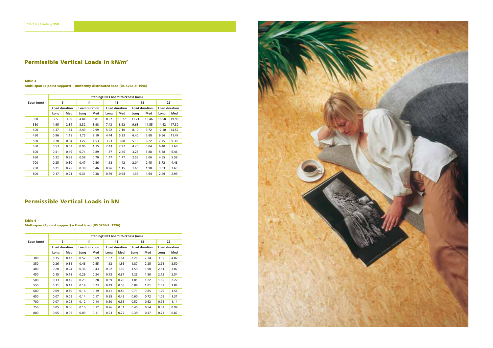## **Permissible Vertical Loads in kN/m2**

## **Table 3**

**Multi-span (3 point support) – Uniformly distributed load (BS 5268-2: 1996)**

|           | SterlingOSB3 board thickness (mm) |      |                      |      |      |                      |                      |       |                      |       |
|-----------|-----------------------------------|------|----------------------|------|------|----------------------|----------------------|-------|----------------------|-------|
| Span (mm) | 9                                 |      | 11                   |      |      | 15                   | 18                   |       | 22                   |       |
|           | <b>Load duration</b>              |      | <b>Load duration</b> |      |      | <b>Load duration</b> | <b>Load duration</b> |       | <b>Load duration</b> |       |
|           | Long                              | Med  | Long                 | Med  | Long | Med                  | Long                 | Med   | Long                 | Med   |
| 300       | 2.5                               | 3.00 | 4.84                 | 5.81 | 8.97 | 10.77                | 11.21                | 13.46 | 16.58                | 19.90 |
| 350       | 1.95                              | 2.34 | 3.32                 | 3.98 | 7.43 | 8.92                 | 9.63                 | 11.55 | 14.42                | 17.30 |
| 400       | 1.37                              | 1.64 | 2.49                 | 2.99 | 5.92 | 7.10                 | 8.10                 | 9.72  | 12.10                | 14.52 |
| 450       | 0.96                              | 1.15 | 1.75                 | 2.10 | 4.44 | 5.33                 | 6.40                 | 7.68  | 9.56                 | 11.47 |
| 500       | 0.70                              | 0.84 | 1.27                 | 1.53 | 3.23 | 3.88                 | 5.19                 | 6.22  | 7.75                 | 9.30  |
| 550       | 0.53                              | 0.63 | 0.96                 | 1.15 | 2.43 | 2.92                 | 4.20                 | 5.04  | 6.40                 | 7.68  |
| 600       | 0.41                              | 0.49 | 0.74                 | 0.89 | 1.87 | 2.25                 | 3.23                 | 3.88  | 5.38                 | 6.46  |
| 650       | 0.32                              | 0.38 | 0.58                 | 0.70 | 1.47 | 1.77                 | 2.55                 | 3.06  | 4.65                 | 5.58  |
| 700       | 0.25                              | 0.30 | 0.47                 | 0.56 | 1.18 | 1.42                 | 2.04                 | 2.45  | 3.72                 | 4.46  |
| 750       | 0.21                              | 0.25 | 0.38                 | 0.46 | 0.96 | 1.15                 | 1.65                 | 1.98  | 3.03                 | 3.63  |
| 800       | 0.17                              | 0.21 | 0.31                 | 0.38 | 0.79 | 0.94                 | 1.37                 | 1.64  | 2.49                 | 2.99  |

## **Permissible Vertical Loads in kN**

## **Table 4**

**Multi-span (3 point support) – Point load (BS 5268-2: 1996)**

|           |                      |      |      |                      |      | SterlingOSB3 board thickness (mm) |      |                      |      |                      |  |
|-----------|----------------------|------|------|----------------------|------|-----------------------------------|------|----------------------|------|----------------------|--|
| Span (mm) |                      | 9    |      | 11                   |      | 15                                |      | 18                   | 22   |                      |  |
|           | <b>Load duration</b> |      |      | <b>Load duration</b> |      | <b>Load duration</b>              |      | <b>Load duration</b> |      | <b>Load duration</b> |  |
|           | Long                 | Med  | Long | Med                  | Long | Med                               | Lona | Med                  | Long | Med                  |  |
| 300       | 0.35                 | 0.42 | 0.57 | 0.69                 | 1.37 | 1.64                              | 2.29 | 2.74                 | 3.35 | 4.02                 |  |
| 350       | 0.26                 | 0.31 | 0.46 | 0.55                 | 1.13 | 1.36                              | 1.87 | 2.25                 | 2.91 | 3.50                 |  |
| 400       | 0.20                 | 0.24 | 0.36 | 0.43                 | 0.92 | 1.10                              | 1.59 | 1.90                 | 2.51 | 3.02                 |  |
| 450       | 0.15                 | 0.18 | 0.29 | 0.34                 | 0.73 | 0.87                              | 1.25 | 1.50                 | 2.12 | 2.54                 |  |
| 500       | 0.13                 | 0.15 | 0.23 | 0.28                 | 0.59 | 0.70                              | 1.01 | 1.22                 | 1.85 | 2.22                 |  |
| 550       | 0.11                 | 0.13 | 0.19 | 0.23                 | 0.49 | 0.58                              | 0.84 | 1.01                 | 1.53 | 1.84                 |  |
| 600       | 0.09                 | 0.10 | 0.16 | 0.19                 | 0.41 | 0.49                              | 0.71 | 0.85                 | 1.29 | 1.54                 |  |
| 650       | 0.07                 | 0.09 | 0.14 | 0.17                 | 0.35 | 0.42                              | 0.60 | 0.72                 | 1.09 | 1.31                 |  |
| 700       | 0.07                 | 0.08 | 0.12 | 0.14                 | 0.30 | 0.36                              | 0.52 | 0.62                 | 0.95 | 1.14                 |  |
| 750       | 0.05                 | 0.06 | 0.10 | 0.12                 | 0.26 | 0.31                              | 0.45 | 0.54                 | 0.83 | 0.99                 |  |
| 800       | 0.05                 | 0.06 | 0.09 | 0.11                 | 0.23 | 0.27                              | 0.39 | 0.47                 | 0.73 | 0.87                 |  |

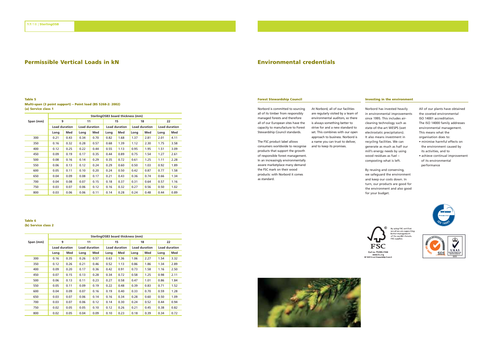## **Permissible Vertical Loads in kN**

#### **Table 5 Multi-span (3 point support) – Point load (BS 5268-2: 2002) (a) Service class 1**

|           | SterlingOSB3 board thickness (mm) |      |      |                      |      |                      |                      |      |                      |      |
|-----------|-----------------------------------|------|------|----------------------|------|----------------------|----------------------|------|----------------------|------|
| Span (mm) |                                   | 9    |      | 11                   |      | 15                   |                      | 18   | 22                   |      |
|           | <b>Load duration</b>              |      |      | <b>Load duration</b> |      | <b>Load duration</b> | <b>Load duration</b> |      | <b>Load duration</b> |      |
|           | Long                              | Med  | Long | Med                  | Long | Med                  | Long                 | Med  | Long                 | Med  |
| 300       | 0.21                              | 0.43 | 0.34 | 0.70                 | 0.82 | 1.68                 | 1.37                 | 2.81 | 2.01                 | 4.11 |
| 350       | 0.16                              | 0.32 | 0.28 | 0.57                 | 0.68 | 1.39                 | 1.12                 | 2.30 | 1.75                 | 3.58 |
| 400       | 0.12                              | 0.25 | 0.22 | 0.44                 | 0.55 | 1.13                 | 0.95                 | 1.95 | 1.51                 | 3.09 |
| 450       | 0.09                              | 0.19 | 0.17 | 0.35                 | 0.44 | 0.89                 | 0.75                 | 1.54 | 1.27                 | 2.61 |
| 500       | 0.08                              | 0.16 | 0.14 | 0.29                 | 0.35 | 0.72                 | 0.61                 | 1.25 | 1.11                 | 2.28 |
| 550       | 0.06                              | 0.13 | 0.12 | 0.24                 | 0.29 | 0.60                 | 0.50                 | 1.03 | 0.92                 | 1.89 |
| 600       | 0.05                              | 0.11 | 0.10 | 0.20                 | 0.24 | 0.50                 | 0.42                 | 0.87 | 0.77                 | 1.58 |
| 650       | 0.04                              | 0.09 | 0.08 | 0.17                 | 0.21 | 0.43                 | 0.36                 | 0.74 | 0.66                 | 1.34 |
| 700       | 0.04                              | 0.08 | 0.07 | 0.15                 | 0.18 | 0.37                 | 0.31                 | 0.64 | 0.57                 | 1.16 |
| 750       | 0.03                              | 0.07 | 0.06 | 0.12                 | 0.16 | 0.32                 | 0.27                 | 0.56 | 0.50                 | 1.02 |
| 800       | 0.03                              | 0.06 | 0.06 | 0.11                 | 0.14 | 0.28                 | 0.24                 | 0.48 | 0.44                 | 0.89 |

## **Table 6**

**(b) Service class 2**

|           |                      |      |                      |      |                      | SterlingOSB3 board thickness (mm) |                      |      |                      |      |
|-----------|----------------------|------|----------------------|------|----------------------|-----------------------------------|----------------------|------|----------------------|------|
| Span (mm) |                      | 9    |                      | 11   |                      | 15                                | 18                   |      | 22                   |      |
|           | <b>Load duration</b> |      | <b>Load duration</b> |      | <b>Load duration</b> |                                   | <b>Load duration</b> |      | <b>Load duration</b> |      |
|           | Long                 | Med  | Lona                 | Med  | Long                 | Med                               | Long                 | Med  | Long                 | Med  |
| 300       | 0.16                 | 0.35 | 0.26                 | 0.57 | 0.63                 | 1.36                              | 1.06                 | 2.27 | 1.54                 | 3.32 |
| 350       | 0.12                 | 0.26 | 0.21                 | 0.46 | 0.52                 | 1.13                              | 0.86                 | 1.86 | 1.34                 | 2.89 |
| 400       | 0.09                 | 0.20 | 0.17                 | 0.36 | 0.42                 | 0.91                              | 0.73                 | 1.58 | 1.16                 | 2.50 |
| 450       | 0.07                 | 0.15 | 0.13                 | 0.28 | 0.34                 | 0.72                              | 0.58                 | 1.25 | 0.98                 | 2.11 |
| 500       | 0.06                 | 0.13 | 0.11                 | 0.23 | 0.27                 | 0.58                              | 0.47                 | 1.01 | 0.86                 | 1.84 |
| 550       | 0.05                 | 0.11 | 0.09                 | 0.19 | 0.22                 | 0.48                              | 0.39                 | 0.83 | 0.71                 | 1.52 |
| 600       | 0.04                 | 0.09 | 0.07                 | 0.16 | 0.19                 | 0.40                              | 0.33                 | 0.70 | 0.59                 | 1.28 |
| 650       | 0.03                 | 0.07 | 0.06                 | 0.14 | 0.16                 | 0.34                              | 0.28                 | 0.60 | 0.50                 | 1.09 |
| 700       | 0.03                 | 0.07 | 0.06                 | 0.12 | 0.14                 | 0.30                              | 0.24                 | 0.52 | 0.44                 | 0.94 |
| 750       | 0.02                 | 0.05 | 0.05                 | 0.10 | 0.12                 | 0.26                              | 0.21                 | 0.45 | 0.38                 | 0.82 |
| 800       | 0.02                 | 0.05 | 0.04                 | 0.09 | 0.10                 | 0.23                              | 0.18                 | 0.39 | 0.34                 | 0.72 |

## **Environmental credentials**

#### **Forest Stewardship Council Investing in the environment**

Norbord is committed to sourcing all of its timber from responsibly managed forests and therefore all of our European sites have the capacity to manufacture to Forest Stewardship Council standards. The FSC product label allows

consumers worldwide to recognise products that support the growth of responsible forest management. In an increasingly environmentally aware marketplace many demand the FSC mark on their wood products: with Norbord it comes as standard.

At Norbord, all of our facilities are regularly visited by <sup>a</sup> team of environmental auditors, so there is always something better to strive for and <sup>a</sup> new standard to set. This combines with our open approach to business. Norbord is <sup>a</sup> name you can trust to deliver, and to keep its promises.

Norbord has invested heavily in environmental improvements since 1995. This includes aircleaning technology such as state-of-the-art WESPS (wet electrostatic precipitators). It also means investment in recycling facilities. We can generate as much as half our mill's energy needs by using wood residues as fuel – composting what is left.

> By reusing and conserving, we safeguard the environment and keep our costs down. In turn, our products are good for the environment and also good for your budget.

All of our plants have obtained the coveted environmental ISO 14001 accreditation. The ISO 14000 family addresses environmental management. This means what the organisation does to: • minimise harmful effects on the environment caused by its activities, and to • achieve continual improvement

of its environmental performance







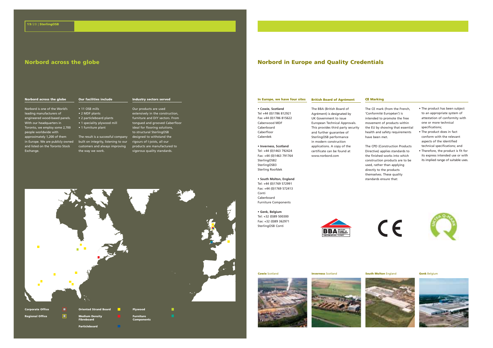## **Norbord across the globe**

#### **Industry sectors served**

Norbord is one of the World's leading manufacturers of engineered wood-based panels. With our headquarters in Toronto, we employ some 2,700 people worldwide with approximately 1,200 of them in Europe. We are publicly owned and listed on the Toronto Stock Exchange.

**Norbord across the globe**

• 11 OSB mills • 2 MDF plants • 2 particleboard plants • 1 speciality plywood mill • 1 furniture plant

**Our facilities include**

The result is <sup>a</sup> successful company built on integrity, listening to our customers and always improving the way we work.

**Particleboard**

Our products are used extensively in the construction, furniture and DIY sectors. From tongued and grooved Caberfloor ideal for flooring solutions, to structural SterlingOSB designed to withstand the rigours of I-joists, all our products are manufactured to vigorous quality standards.



**Norbord in Europe and Quality Credentials**

#### **In Europe, we have four sites British Board of Agrément**

**• Cowie, Scotland** Tel +44 (0)1786 812921 Fax +44 (0)1786 815622 Caberwood MDF Caberboard Caberfloor Caberdek

**• Inverness, Scotland** Tel: +44 (0)1463 792424 Fax: +44 (0)1463 791764 SterlingOSB2 SterlingOSB3 Sterling Roofdek

**• South Molton, England** Tel: +44 (0)1769 572991

Fax: +44 (0)1769 572413 Conti Caberboard Furniture Components

**• Genk, Belgium** Tel: +32 (0)89 500300 Fax: +32 (0)89 362971 SterlingOSB Conti

The BBA (British Board of Agrément) is designated by UK Government to issue European Technical Approvals. This provides third party security and further guarantee of SterlingOSB performance in modern construction applications. A copy of the certificate can be found at www.norbord.com

The CE mark (from the French, 'Conformité Européan') is intended to promote the free movement of products within the EU by showing that essential health and safety requirements have been met.

**CE Marking**

The CPD (Construction Products Directive) applies standards to the finished works into which construction products are to be used, rather than applying directly to the products themselves. These quality standards ensure that:

• The product has been subject to an appropriate system of attestation of conformity with one or more technical specifications;

• The product does in fact conform with the relevant aspects of the identified technical specifications; and

• Therefore, the product is fit for its express intended use or with its implied range of suitable uses.





**Cowie** Scotland **Inverness** Scotland **South Molton** England **Genk** Belgium









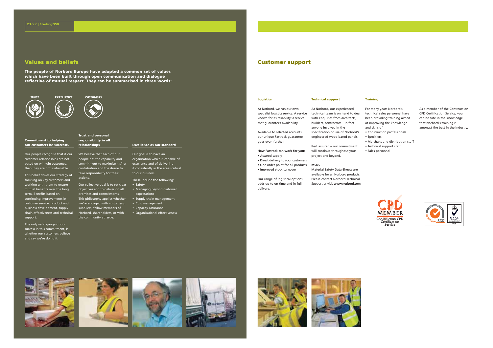The people of Norbord Europe have adopted a common set of values **which have been built through open communication and dialogue reflective of mutual respect. They can be summarised in three words:**

**CUSTOMERS** 





#### **Commitment to helping our customers be successful**

customer relationships are not based on win-win outcomes, then they are not sustainable.

This belief drives our strategy of focusing on key customers and working with them to ensure mutual benefits over the long term. Benefits based on continuing improvements in customer service, product and business development, supply chain effectiveness and technical support.

The only valid gauge of our success in this commitment, is whether our customers believe and say we're doing it.

#### **Trust and personal responsibility in all relationships**

Our people recognise that if our We believe that each of our people has the capability and commitment to maximise his/her contribution and the desire to take responsibility for their

• Safety Our collective goal is to set clear actions. objectives and to deliver on all promises and commitments. This philosophy applies whether we're engaged with customers, suppliers, fellow members of

Norbord, shareholders, or with the community at large.

## **Excellence as our standard**

Our goal is to have an organisation which is capable of excellence and of delivering it consistently in the areas critical to our business.

These include the following:

- Managing beyond customer expectations • Supply chain management
- Cost management
- Capacity assurance • Organisational effectiveness

## **Values and beliefs Customer support**

## **Logistics**

At Norbord, we run our own known for its reliability; <sup>a</sup> service that guarantees availability.

Available to selected accounts, our unique Fastrack guarantee goes even further.

**How Fastrack can work for you:** • Assured supply

• Direct delivery to your customers • One order point for all products • Improved stock turnover

Our range of logistical options adds up to on time and in full delivery.

specialist logistics service. A service technical team is on hand to deal At Norbord, our experienced with enquiries from architects, builders, contractors – in fact anyone involved in the specification or use of Norbord's engineered wood-based panels.

**Technical support**

**MSDS**

Rest assured – our commitment will continue throughout your project and beyond.

Support or visit **www.norbord.com**

Material Safety Data-Sheets are available for all Norbord products.

Please contact Norbord Technical

• Specifiers

**Training**

technical sales personnel have been providing training aimed at improving the knowledge and skills of: • Construction professionals

As <sup>a</sup> member of the Construction CPD Certification Service, you can be safe in the knowledge that Norbord's training is amongst the best in the industry.



Construction CPD<br>Certification

For many years Norbord's

• Merchant and distribution staff • Technical support staff • Sales personnel